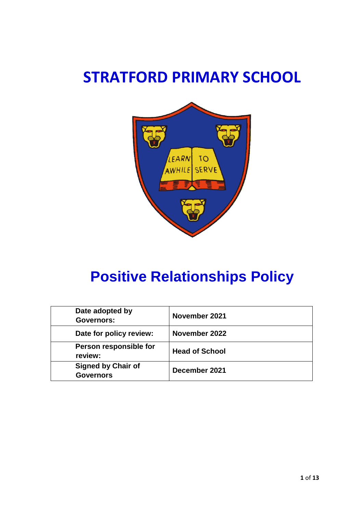# **STRATFORD PRIMARY SCHOOL**



# **Positive Relationships Policy**

| Date adopted by<br><b>Governors:</b>          | November 2021         |
|-----------------------------------------------|-----------------------|
| Date for policy review:                       | November 2022         |
| Person responsible for<br>review:             | <b>Head of School</b> |
| <b>Signed by Chair of</b><br><b>Governors</b> | December 2021         |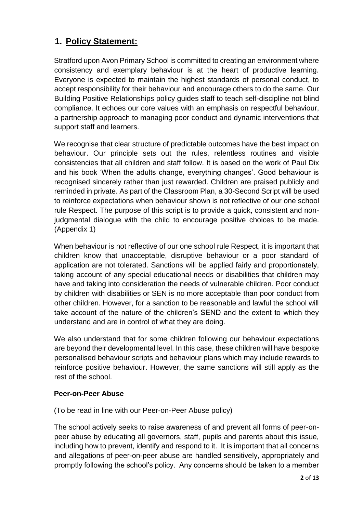### **1. Policy Statement:**

Stratford upon Avon Primary School is committed to creating an environment where consistency and exemplary behaviour is at the heart of productive learning. Everyone is expected to maintain the highest standards of personal conduct, to accept responsibility for their behaviour and encourage others to do the same. Our Building Positive Relationships policy guides staff to teach self-discipline not blind compliance. It echoes our core values with an emphasis on respectful behaviour, a partnership approach to managing poor conduct and dynamic interventions that support staff and learners.

We recognise that clear structure of predictable outcomes have the best impact on behaviour. Our principle sets out the rules, relentless routines and visible consistencies that all children and staff follow. It is based on the work of Paul Dix and his book 'When the adults change, everything changes'. Good behaviour is recognised sincerely rather than just rewarded. Children are praised publicly and reminded in private. As part of the Classroom Plan, a 30-Second Script will be used to reinforce expectations when behaviour shown is not reflective of our one school rule Respect. The purpose of this script is to provide a quick, consistent and nonjudgmental dialogue with the child to encourage positive choices to be made. (Appendix 1)

When behaviour is not reflective of our one school rule Respect, it is important that children know that unacceptable, disruptive behaviour or a poor standard of application are not tolerated. Sanctions will be applied fairly and proportionately, taking account of any special educational needs or disabilities that children may have and taking into consideration the needs of vulnerable children. Poor conduct by children with disabilities or SEN is no more acceptable than poor conduct from other children. However, for a sanction to be reasonable and lawful the school will take account of the nature of the children's SEND and the extent to which they understand and are in control of what they are doing.

We also understand that for some children following our behaviour expectations are beyond their developmental level. In this case, these children will have bespoke personalised behaviour scripts and behaviour plans which may include rewards to reinforce positive behaviour. However, the same sanctions will still apply as the rest of the school.

#### **Peer-on-Peer Abuse**

(To be read in line with our Peer-on-Peer Abuse policy)

The school actively seeks to raise awareness of and prevent all forms of peer-onpeer abuse by educating all governors, staff, pupils and parents about this issue, including how to prevent, identify and respond to it. It is important that all concerns and allegations of peer-on-peer abuse are handled sensitively, appropriately and promptly following the school's policy. Any concerns should be taken to a member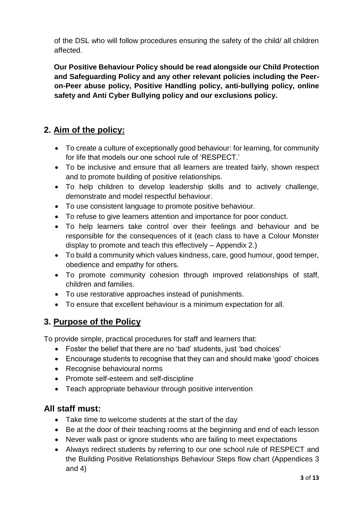of the DSL who will follow procedures ensuring the safety of the child/ all children affected.

**Our Positive Behaviour Policy should be read alongside our Child Protection and Safeguarding Policy and any other relevant policies including the Peeron-Peer abuse policy, Positive Handling policy, anti-bullying policy, online safety and Anti Cyber Bullying policy and our exclusions policy.**

### **2. Aim of the policy:**

- To create a culture of exceptionally good behaviour: for learning, for community for life that models our one school rule of 'RESPECT.'
- To be inclusive and ensure that all learners are treated fairly, shown respect and to promote building of positive relationships.
- To help children to develop leadership skills and to actively challenge, demonstrate and model respectful behaviour.
- To use consistent language to promote positive behaviour.
- To refuse to give learners attention and importance for poor conduct.
- To help learners take control over their feelings and behaviour and be responsible for the consequences of it (each class to have a Colour Monster display to promote and teach this effectively – Appendix 2.)
- To build a community which values kindness, care, good humour, good temper, obedience and empathy for others.
- To promote community cohesion through improved relationships of staff, children and families.
- To use restorative approaches instead of punishments.
- To ensure that excellent behaviour is a minimum expectation for all.

### **3. Purpose of the Policy**

To provide simple, practical procedures for staff and learners that:

- Foster the belief that there are no 'bad' students, just 'bad choices'
- Encourage students to recognise that they can and should make 'good' choices
- Recognise behavioural norms
- Promote self-esteem and self-discipline
- Teach appropriate behaviour through positive intervention

### **All staff must:**

- Take time to welcome students at the start of the day
- Be at the door of their teaching rooms at the beginning and end of each lesson
- Never walk past or ignore students who are failing to meet expectations
- Always redirect students by referring to our one school rule of RESPECT and the Building Positive Relationships Behaviour Steps flow chart (Appendices 3 and 4)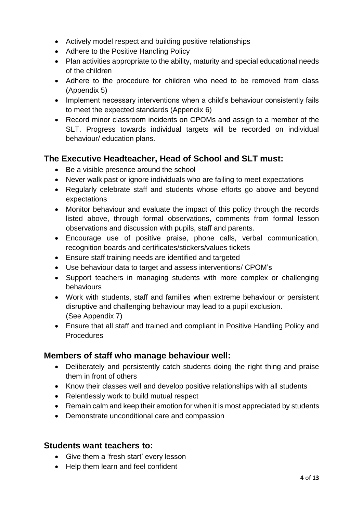- Actively model respect and building positive relationships
- Adhere to the Positive Handling Policy
- Plan activities appropriate to the ability, maturity and special educational needs of the children
- Adhere to the procedure for children who need to be removed from class (Appendix 5)
- Implement necessary interventions when a child's behaviour consistently fails to meet the expected standards (Appendix 6)
- Record minor classroom incidents on CPOMs and assign to a member of the SLT. Progress towards individual targets will be recorded on individual behaviour/ education plans.

### **The Executive Headteacher, Head of School and SLT must:**

- Be a visible presence around the school
- Never walk past or ignore individuals who are failing to meet expectations
- Regularly celebrate staff and students whose efforts go above and beyond expectations
- Monitor behaviour and evaluate the impact of this policy through the records listed above, through formal observations, comments from formal lesson observations and discussion with pupils, staff and parents.
- Encourage use of positive praise, phone calls, verbal communication, recognition boards and certificates/stickers/values tickets
- Ensure staff training needs are identified and targeted
- Use behaviour data to target and assess interventions/ CPOM's
- Support teachers in managing students with more complex or challenging behaviours
- Work with students, staff and families when extreme behaviour or persistent disruptive and challenging behaviour may lead to a pupil exclusion. (See Appendix 7)
- Ensure that all staff and trained and compliant in Positive Handling Policy and **Procedures**

### **Members of staff who manage behaviour well:**

- Deliberately and persistently catch students doing the right thing and praise them in front of others
- Know their classes well and develop positive relationships with all students
- Relentlessly work to build mutual respect
- Remain calm and keep their emotion for when it is most appreciated by students
- Demonstrate unconditional care and compassion

#### **Students want teachers to:**

- Give them a 'fresh start' every lesson
- Help them learn and feel confident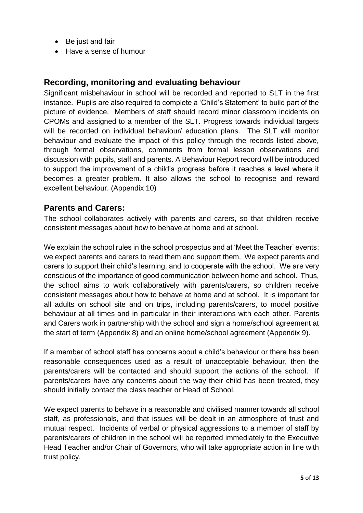- Be just and fair
- Have a sense of humour

#### **Recording, monitoring and evaluating behaviour**

Significant misbehaviour in school will be recorded and reported to SLT in the first instance. Pupils are also required to complete a 'Child's Statement' to build part of the picture of evidence. Members of staff should record minor classroom incidents on CPOMs and assigned to a member of the SLT. Progress towards individual targets will be recorded on individual behaviour/ education plans. The SLT will monitor behaviour and evaluate the impact of this policy through the records listed above, through formal observations, comments from formal lesson observations and discussion with pupils, staff and parents. A Behaviour Report record will be introduced to support the improvement of a child's progress before it reaches a level where it becomes a greater problem. It also allows the school to recognise and reward excellent behaviour. (Appendix 10)

#### **Parents and Carers:**

The school collaborates actively with parents and carers, so that children receive consistent messages about how to behave at home and at school.

We explain the school rules in the school prospectus and at 'Meet the Teacher' events: we expect parents and carers to read them and support them. We expect parents and carers to support their child's learning, and to cooperate with the school. We are very conscious of the importance of good communication between home and school. Thus, the school aims to work collaboratively with parents/carers, so children receive consistent messages about how to behave at home and at school. It is important for all adults on school site and on trips, including parents/carers, to model positive behaviour at all times and in particular in their interactions with each other. Parents and Carers work in partnership with the school and sign a home/school agreement at the start of term (Appendix 8) and an online home/school agreement (Appendix 9).

If a member of school staff has concerns about a child's behaviour or there has been reasonable consequences used as a result of unacceptable behaviour, then the parents/carers will be contacted and should support the actions of the school. If parents/carers have any concerns about the way their child has been treated, they should initially contact the class teacher or Head of School.

We expect parents to behave in a reasonable and civilised manner towards all school staff, as professionals, and that issues will be dealt in an atmosphere of trust and mutual respect. Incidents of verbal or physical aggressions to a member of staff by parents/carers of children in the school will be reported immediately to the Executive Head Teacher and/or Chair of Governors, who will take appropriate action in line with trust policy.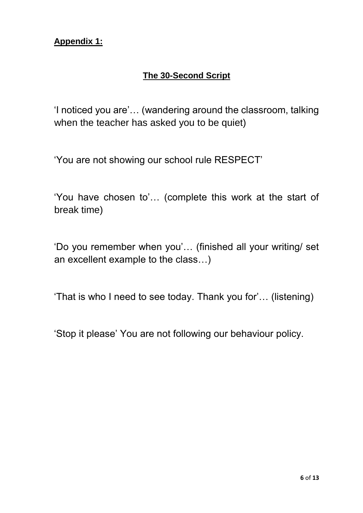### **The 30-Second Script**

'I noticed you are'… (wandering around the classroom, talking when the teacher has asked you to be quiet)

'You are not showing our school rule RESPECT'

'You have chosen to'… (complete this work at the start of break time)

'Do you remember when you'… (finished all your writing/ set an excellent example to the class…)

'That is who I need to see today. Thank you for'… (listening)

'Stop it please' You are not following our behaviour policy.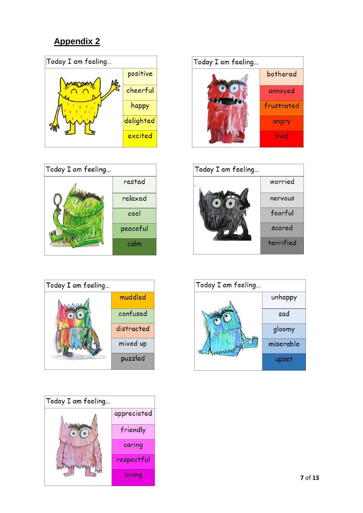











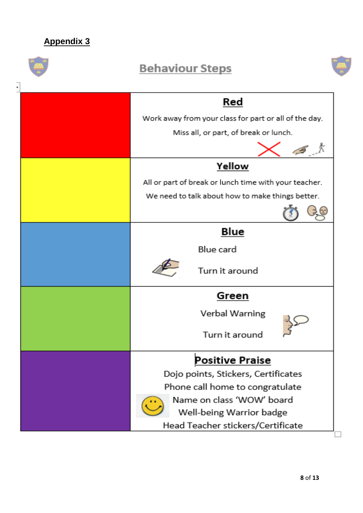|   | <b>Behaviour Steps</b>                                                                                                                                                                         |
|---|------------------------------------------------------------------------------------------------------------------------------------------------------------------------------------------------|
| ۰ | Red<br>Work away from your class for part or all of the day.<br>Miss all, or part, of break or lunch.                                                                                          |
|   | Yellow<br>All or part of break or lunch time with your teacher.<br>We need to talk about how to make things better.                                                                            |
|   | Blue<br>Blue card<br>Turn it around                                                                                                                                                            |
|   | Green<br>Verbal Warning<br>Turn it around                                                                                                                                                      |
|   | <b>Positive Praise</b><br>Dojo points, Stickers, Certificates<br>Phone call home to congratulate<br>Name on class 'WOW' board<br>Well-being Warrior badge<br>Head Teacher stickers/Certificate |

 $\Box$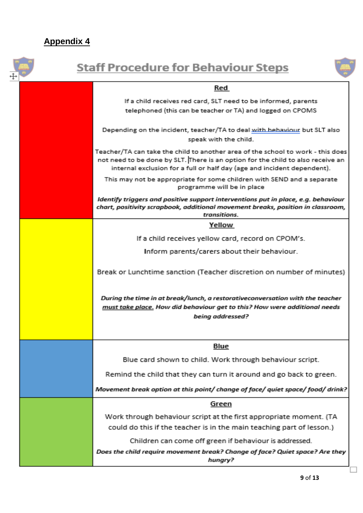| <b>Staff Procedure for Behaviour Steps</b>                                                                                                                                                                                                    |
|-----------------------------------------------------------------------------------------------------------------------------------------------------------------------------------------------------------------------------------------------|
| Red                                                                                                                                                                                                                                           |
| If a child receives red card, SLT need to be informed, parents<br>telephoned (this can be teacher or TA) and logged on CPOMS                                                                                                                  |
| Depending on the incident, teacher/TA to deal with hebaviour but SLT also<br>speak with the child.                                                                                                                                            |
| Teacher/TA can take the child to another area of the school to work - this does<br>not need to be done by SLT. There is an option for the child to also receive an<br>internal exclusion for a full or half day (age and incident dependent). |
| This may not be appropriate for some children with SEND and a separate<br>programme will be in place                                                                                                                                          |
| Identify triggers and positive support interventions put in place, e.g. behaviour<br>chart, positivity scrapbook, additional movement breaks, position in classroom,<br>transitions.                                                          |
| Yellow                                                                                                                                                                                                                                        |
| If a child receives yellow card, record on CPOM's.                                                                                                                                                                                            |
| Inform parents/carers about their behaviour.                                                                                                                                                                                                  |
| Break or Lunchtime sanction (Teacher discretion on number of minutes)                                                                                                                                                                         |
| During the time in at break/lunch, a restorativeconversation with the teacher<br>must take place. How did behaviour get to this? How were additional needs<br>being addressed?                                                                |
| Blue                                                                                                                                                                                                                                          |
| Blue card shown to child. Work through behaviour script.                                                                                                                                                                                      |
| Remind the child that they can turn it around and go back to green.                                                                                                                                                                           |
| Movement break option at this point/ change of face/ quiet space/ food/ drink?                                                                                                                                                                |
| Green                                                                                                                                                                                                                                         |
| Work through behaviour script at the first appropriate moment. (TA                                                                                                                                                                            |
| could do this if the teacher is in the main teaching part of lesson.)                                                                                                                                                                         |
| Children can come off green if behaviour is addressed.                                                                                                                                                                                        |
| Does the child require movement break? Change of face? Quiet space? Are they<br>hungry?                                                                                                                                                       |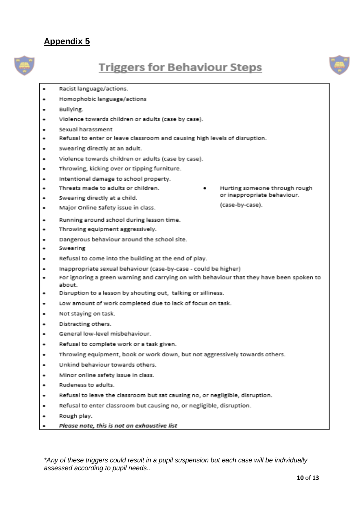

# **Triggers for Behaviour Steps**



- Racist language/actions.
- Homophobic language/actions
- Bullying.
- Violence towards children or adults (case by case).
- Sexual harassment
- Refusal to enter or leave classroom and causing high levels of disruption.
- Swearing directly at an adult.
- Violence towards children or adults (case by case).
- Throwing, kicking over or tipping furniture. ٠
- Intentional damage to school property.
- Threats made to adults or children.
- Swearing directly at a child.
- Major Online Safety issue in class.  $\bullet$
- Running around school during lesson time.
- Throwing equipment aggressively. ٠
- Dangerous behaviour around the school site.
- Swearing
- Refusal to come into the building at the end of play.
- Inappropriate sexual behaviour (case-by-case could be higher)  $\bullet$
- For ignoring a green warning and carrying on with behaviour that they have been spoken to ٠ about
- Disruption to a lesson by shouting out, talking or silliness.
- Low amount of work completed due to lack of focus on task. ٠
- Not staying on task.
- Distracting others.
- General low-level misbehaviour.  $\blacksquare$
- Refusal to complete work or a task given.  $\bullet$
- Throwing equipment, book or work down, but not aggressively towards others.
- Unkind behaviour towards others. ٠
- Minor online safety issue in class.
- Rudeness to adults. ۰
- Refusal to leave the classroom but sat causing no, or negligible, disruption.  $\bullet$
- Refusal to enter classroom but causing no, or negligible, disruption. ٠
- Rough play.
- Please note, this is not an exhaustive list

\*Any of these triggers could result in a pupil suspension but each case will be individually assessed according to pupil needs..

 $10$  of  $13$ 

Hurting someone through rough or inappropriate behaviour. (case-by-case).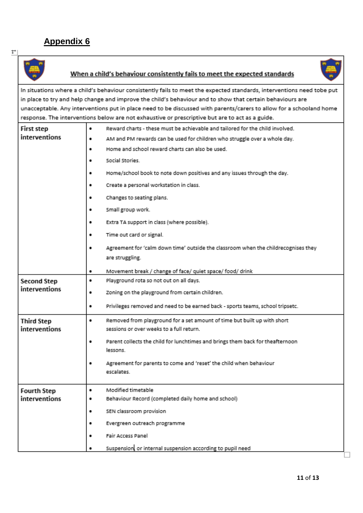$\uparrow$ 





In situations where a child's behaviour consistently fails to meet the expected standards, interventions need tobe put in place to try and help change and improve the child's behaviour and to show that certain behaviours are unacceptable. Any interventions put in place need to be discussed with parents/carers to allow for a schooland home response. The interventions below are not exhaustive or prescriptive but are to act as a guide.

| First step         | ٠ | Reward charts - these must be achievable and tailored for the child involved.      |
|--------------------|---|------------------------------------------------------------------------------------|
| interventions      | ٠ | AM and PM rewards can be used for children who struggle over a whole day.          |
|                    | ٠ | Home and school reward charts can also be used.                                    |
|                    | ٠ | Social Stories                                                                     |
|                    | ٠ | Home/school book to note down positives and any issues through the day.            |
|                    |   | Create a personal workstation in class.                                            |
|                    | ٠ | Changes to seating plans.                                                          |
|                    | ٠ | Small group work.                                                                  |
|                    | ٠ | Extra TA support in class (where possible).                                        |
|                    | ٠ | Time out card or signal.                                                           |
|                    | ٠ | Agreement for 'calm down time' outside the classroom when the childrecognises they |
|                    |   | are struggling.                                                                    |
|                    | ٠ | Movement break / change of face/ quiet space/ food/ drink                          |
| <b>Second Step</b> | ٠ | Playground rota so not out on all days.                                            |
| interventions      | ٠ | Zoning on the playground from certain children.                                    |
|                    | ٠ | Privileges removed and need to be earned back - sports teams, school tripsetc.     |
| <b>Third Step</b>  | ٠ | Removed from playground for a set amount of time but built up with short           |
| interventions      |   | sessions or over weeks to a full return.                                           |
|                    | ٠ | Parent collects the child for lunchtimes and brings them back for theafternoon     |
|                    |   | lessons.                                                                           |
|                    | ٠ | Agreement for parents to come and 'reset' the child when behaviour                 |
|                    |   | escalates.                                                                         |
| <b>Fourth Step</b> | ٠ | Modified timetable                                                                 |
| interventions      | ٠ | Behaviour Record (completed daily home and school)                                 |
|                    | ٠ | SEN classroom provision                                                            |
|                    | ٠ | Evergreen outreach programme                                                       |
|                    | ٠ | Fair Access Panel                                                                  |
|                    |   | Suspension, or internal suspension according to pupil need                         |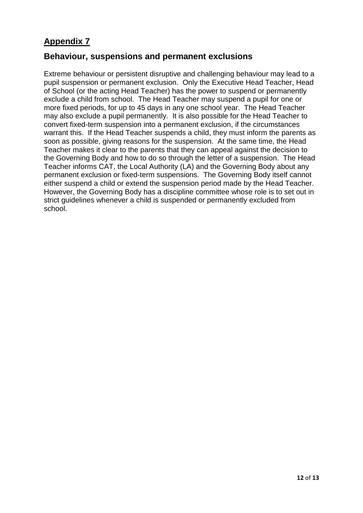#### **Behaviour, suspensions and permanent exclusions**

Extreme behaviour or persistent disruptive and challenging behaviour may lead to a pupil suspension or permanent exclusion. Only the Executive Head Teacher, Head of School (or the acting Head Teacher) has the power to suspend or permanently exclude a child from school. The Head Teacher may suspend a pupil for one or more fixed periods, for up to 45 days in any one school year. The Head Teacher may also exclude a pupil permanently. It is also possible for the Head Teacher to convert fixed-term suspension into a permanent exclusion, if the circumstances warrant this. If the Head Teacher suspends a child, they must inform the parents as soon as possible, giving reasons for the suspension. At the same time, the Head Teacher makes it clear to the parents that they can appeal against the decision to the Governing Body and how to do so through the letter of a suspension. The Head Teacher informs CAT, the Local Authority (LA) and the Governing Body about any permanent exclusion or fixed-term suspensions. The Governing Body itself cannot either suspend a child or extend the suspension period made by the Head Teacher. However, the Governing Body has a discipline committee whose role is to set out in strict guidelines whenever a child is suspended or permanently excluded from school.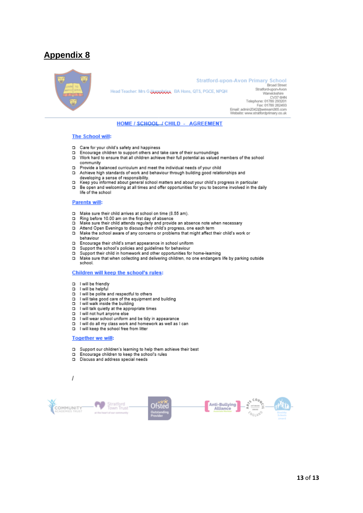

#### **Stratford-upon-Avon Primary School**

Head Teacher: Mrs G Huggbriss, BA Hons, QTS, PGCE, NPQH

**Broad Street** Stratford-upon-Avon Warwickshire Twarwickshille<br>CV37 6HN<br>Telephone: 01789 293201 Fax: 01789 262493 rax: ۱۰۲ ros<br>Email: admin2042@weleam385.com<br>Website: www.stratfordprimary.co.uk

#### HOME / SCHOOL / CHILD - AGREEMENT

#### **The School will:**

- Care for your child's safety and happiness  $\Box$
- Encourage children to support others and take care of their surroundings  $\Box$
- $\Box$ Work hard to ensure that all children achieve their full potential as valued members of the school community
- Provide a balanced curriculum and meet the individual needs of your child  $\Box$
- Achieve high standards of work and behaviour through building good relationships and  $\Box$ concerning a sense of responsibility.<br>The developing a sense of responsibility.<br>Keep you informed about general school matters and about your child's progress in particular
- n.
- Be open and welcoming at all times and offer opportunities for you to become involved in the daily D. life of the school

#### **Parents will:**

- Make sure their child arrives at school on time (8.55 am).  $\Box$
- $\Box$
- Ring before 10.00 am on the first day of absence<br>Make sure their child attends regularly and provide an absence note when necessary<br>Attend Open Evenings to discuss their child's progress, one each term  $\Box$
- $\Box$
- $\Box$ Make the school aware of any concerns or problems that might affect their child's work or behaviour
- Encourage their child's smart appearance in school uniform  $\Box$
- Support the school's policies and guidelines for behaviour  $\Box$
- $\Box$ Support their child in homework and other opportunities for home-learning
- Make sure that when collecting and delivering children, no one endangers life by parking outside  $\Box$ school.

#### Children will keep the school's rules:

- I will be friendly  $\Box$
- $\Box$ I will be helpful
- $\Box$ I will be polite and respectful to others
- I will take good care of the equipment and building<br>I will take good care of the equipment and building  $\Box$
- $\Box$
- I will talk quietly at the appropriate times  $\Box$
- $\Box$
- I will not hurt anyone else<br>I will not hurt anyone else<br>I will wear school uniform and be tidy in appearance  $\Box$
- I will do all my class work and homework as well as I can  $\Box$
- $\Box$ I will keep the school free from litter

#### **Together we will:**

 $\overline{I}$ 

- $\Box$ Support our children's learning to help them achieve their best
- Encourage children to keep the school's rules  $\Box$
- Discuss and address special needs n

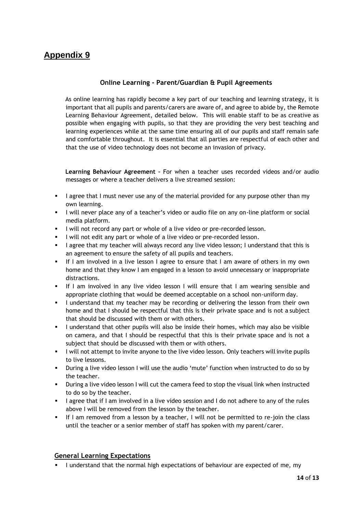#### **Online Learning - Parent/Guardian & Pupil Agreements**

As online learning has rapidly become a key part of our teaching and learning strategy, it is important that all pupils and parents/carers are aware of, and agree to abide by, the Remote Learning Behaviour Agreement, detailed below. This will enable staff to be as creative as possible when engaging with pupils, so that they are providing the very best teaching and learning experiences while at the same time ensuring all of our pupils and staff remain safe and comfortable throughout. It is essential that all parties are respectful of each other and that the use of video technology does not become an invasion of privacy.

**Learning Behaviour Agreement –** For when a teacher uses recorded videos and/or audio messages or where a teacher delivers a live streamed session:

- **EXECT** 1 agree that I must never use any of the material provided for any purpose other than my own learning.
- I will never place any of a teacher's video or audio file on any on-line platform or social media platform.
- I will not record any part or whole of a live video or pre-recorded lesson.
- **EXECT** I will not edit any part or whole of a live video or pre-recorded lesson.
- I agree that my teacher will always record any live video lesson; I understand that this is an agreement to ensure the safety of all pupils and teachers.
- If I am involved in a live lesson I agree to ensure that I am aware of others in my own home and that they know I am engaged in a lesson to avoid unnecessary or inappropriate distractions.
- If I am involved in any live video lesson I will ensure that I am wearing sensible and appropriate clothing that would be deemed acceptable on a school non-uniform day.
- **.** I understand that my teacher may be recording or delivering the lesson from their own home and that I should be respectful that this is their private space and is not a subject that should be discussed with them or with others.
- I understand that other pupils will also be inside their homes, which may also be visible on camera, and that I should be respectful that this is their private space and is not a subject that should be discussed with them or with others.
- I will not attempt to invite anyone to the live video lesson. Only teachers will invite pupils to live lessons.
- During a live video lesson I will use the audio 'mute' function when instructed to do so by the teacher.
- **•** During a live video lesson I will cut the camera feed to stop the visual link when instructed to do so by the teacher.
- **■** I agree that if I am involved in a live video session and I do not adhere to any of the rules above I will be removed from the lesson by the teacher.
- If I am removed from a lesson by a teacher, I will not be permitted to re-join the class until the teacher or a senior member of staff has spoken with my parent/carer.

#### **General Learning Expectations**

▪ I understand that the normal high expectations of behaviour are expected of me, my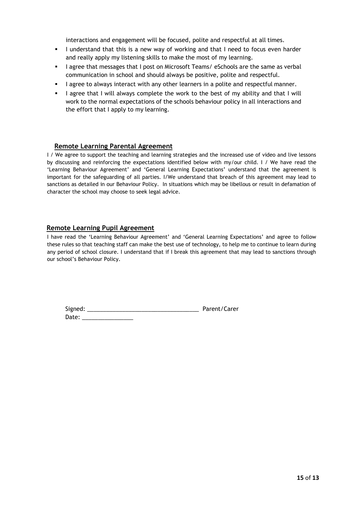interactions and engagement will be focused, polite and respectful at all times.

- **.** I understand that this is a new way of working and that I need to focus even harder and really apply my listening skills to make the most of my learning.
- I agree that messages that I post on Microsoft Teams/ eSchools are the same as verbal communication in school and should always be positive, polite and respectful.
- I agree to always interact with any other learners in a polite and respectful manner.
- I agree that I will always complete the work to the best of my ability and that I will work to the normal expectations of the schools behaviour policy in all interactions and the effort that I apply to my learning.

#### **Remote Learning Parental Agreement**

I / We agree to support the teaching and learning strategies and the increased use of video and live lessons by discussing and reinforcing the expectations identified below with my/our child. I / We have read the 'Learning Behaviour Agreement' and 'General Learning Expectations' understand that the agreement is important for the safeguarding of all parties. I/We understand that breach of this agreement may lead to sanctions as detailed in our Behaviour Policy. In situations which may be libellous or result in defamation of character the school may choose to seek legal advice.

#### **Remote Learning Pupil Agreement**

I have read the 'Learning Behaviour Agreement' and 'General Learning Expectations' and agree to follow these rules so that teaching staff can make the best use of technology, to help me to continue to learn during any period of school closure. I understand that if I break this agreement that may lead to sanctions through our school's Behaviour Policy.

| Signed: | Parent/Carer |
|---------|--------------|
| Date:   |              |